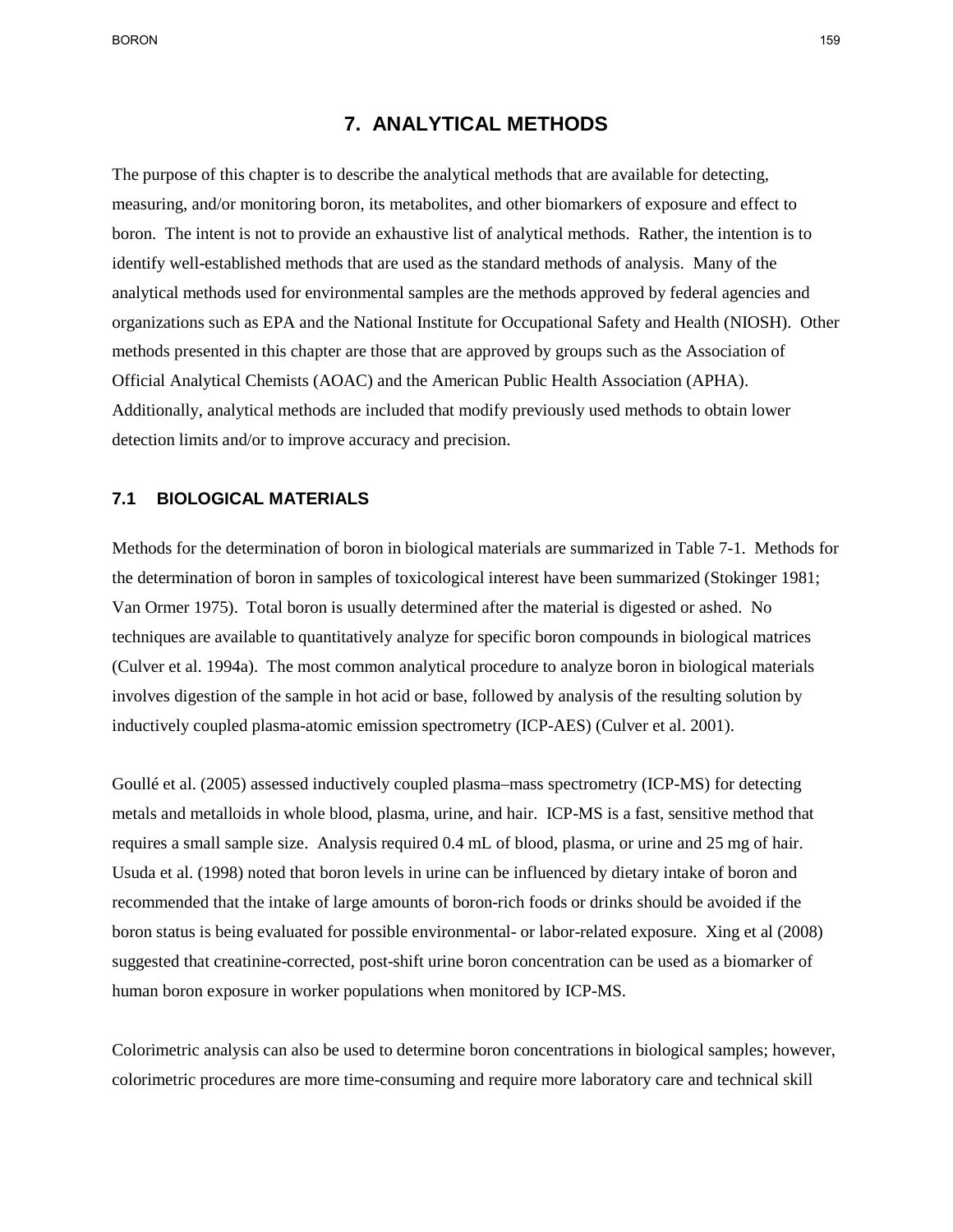BORON 159

## **7. ANALYTICAL METHODS**

 boron. The intent is not to provide an exhaustive list of analytical methods. Rather, the intention is to methods presented in this chapter are those that are approved by groups such as the Association of The purpose of this chapter is to describe the analytical methods that are available for detecting, measuring, and/or monitoring boron, its metabolites, and other biomarkers of exposure and effect to identify well-established methods that are used as the standard methods of analysis. Many of the analytical methods used for environmental samples are the methods approved by federal agencies and organizations such as EPA and the National Institute for Occupational Safety and Health (NIOSH). Other Official Analytical Chemists (AOAC) and the American Public Health Association (APHA). Additionally, analytical methods are included that modify previously used methods to obtain lower detection limits and/or to improve accuracy and precision.

#### $7.1$ **7.1 BIOLOGICAL MATERIALS**

 Van Ormer 1975). Total boron is usually determined after the material is digested or ashed. No (Culver et al. 1994a). The most common analytical procedure to analyze boron in biological materials involves digestion of the sample in hot acid or base, followed by analysis of the resulting solution by inductively coupled plasma-atomic emission spectrometry (ICP-AES) (Culver et al. 2001). Methods for the determination of boron in biological materials are summarized in Table 7-1. Methods for the determination of boron in samples of toxicological interest have been summarized (Stokinger 1981; techniques are available to quantitatively analyze for specific boron compounds in biological matrices

 requires a small sample size. Analysis required 0.4 mL of blood, plasma, or urine and 25 mg of hair. Usuda et al. (1998) noted that boron levels in urine can be influenced by dietary intake of boron and recommended that the intake of large amounts of boron-rich foods or drinks should be avoided if the human boron exposure in worker populations when monitored by ICP-MS. Goullé et al. (2005) assessed inductively coupled plasma–mass spectrometry (ICP-MS) for detecting metals and metalloids in whole blood, plasma, urine, and hair. ICP-MS is a fast, sensitive method that boron status is being evaluated for possible environmental- or labor-related exposure. Xing et al (2008) suggested that creatinine-corrected, post-shift urine boron concentration can be used as a biomarker of

 colorimetric procedures are more time-consuming and require more laboratory care and technical skill Colorimetric analysis can also be used to determine boron concentrations in biological samples; however,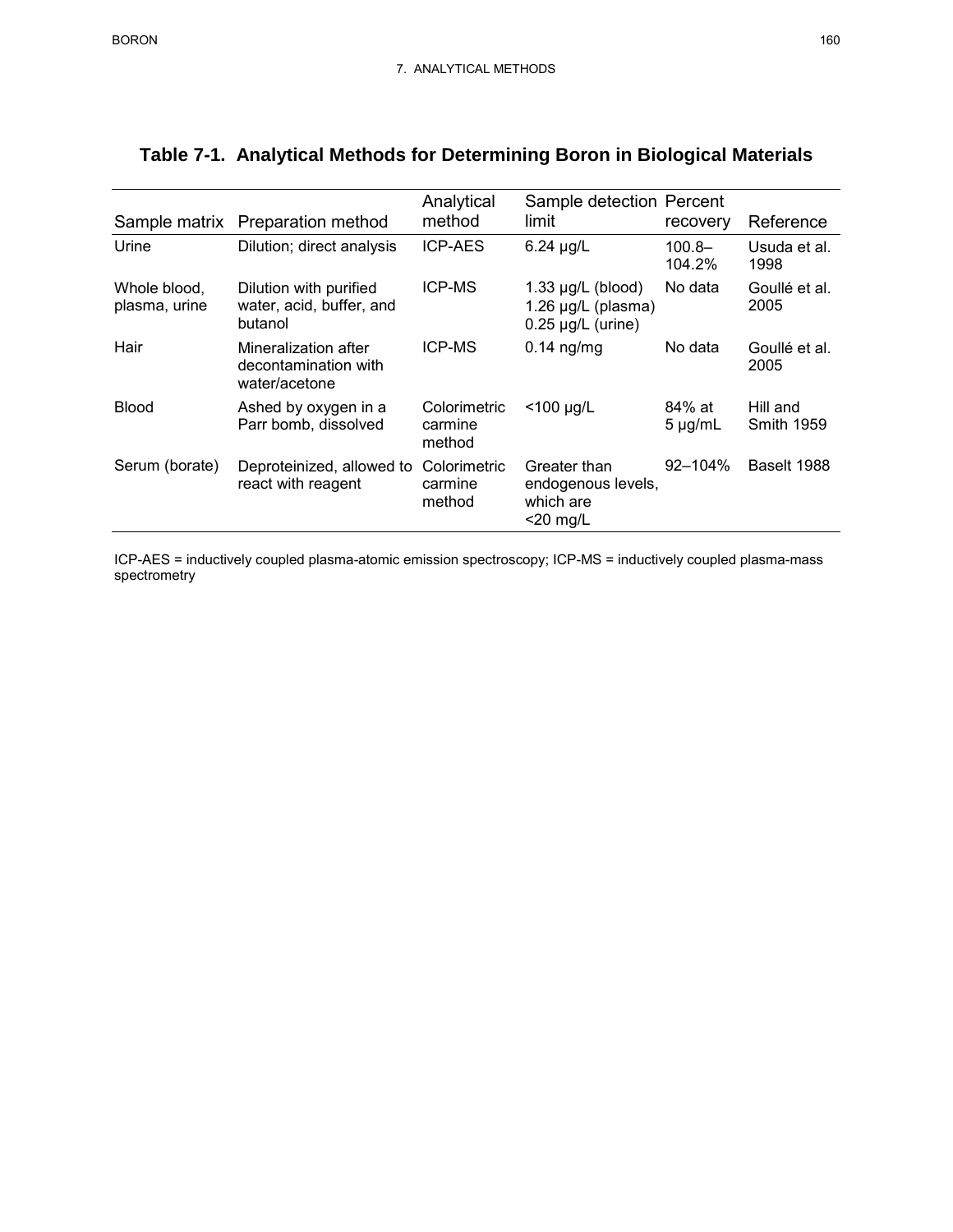| Sample matrix                 | Preparation method                                            | Analytical<br>method              | Sample detection Percent<br>limit                                        | recovery               | Reference                     |
|-------------------------------|---------------------------------------------------------------|-----------------------------------|--------------------------------------------------------------------------|------------------------|-------------------------------|
| Urine                         | Dilution; direct analysis                                     | <b>ICP-AES</b>                    | $6.24 \mu g/L$                                                           | $100.8 -$<br>104.2%    | Usuda et al.<br>1998          |
| Whole blood,<br>plasma, urine | Dilution with purified<br>water, acid, buffer, and<br>butanol | <b>ICP-MS</b>                     | $1.33 \mu g/L$ (blood)<br>1.26 $\mu$ g/L (plasma)<br>$0.25$ µg/L (urine) | No data                | Goullé et al.<br>2005         |
| Hair                          | Mineralization after<br>decontamination with<br>water/acetone | <b>ICP-MS</b>                     | $0.14$ ng/mg                                                             | No data                | Goullé et al.<br>2005         |
| <b>Blood</b>                  | Ashed by oxygen in a<br>Parr bomb, dissolved                  | Colorimetric<br>carmine<br>method | $<$ 100 µg/L                                                             | 84% at<br>$5 \mu g/mL$ | Hill and<br><b>Smith 1959</b> |
| Serum (borate)                | Deproteinized, allowed to<br>react with reagent               | Colorimetric<br>carmine<br>method | Greater than<br>endogenous levels,<br>which are<br>$<$ 20 mg/L           | $92 - 104\%$           | Baselt 1988                   |

# **Table 7-1. Analytical Methods for Determining Boron in Biological Materials**

ICP-AES = inductively coupled plasma-atomic emission spectroscopy; ICP-MS = inductively coupled plasma-mass spectrometry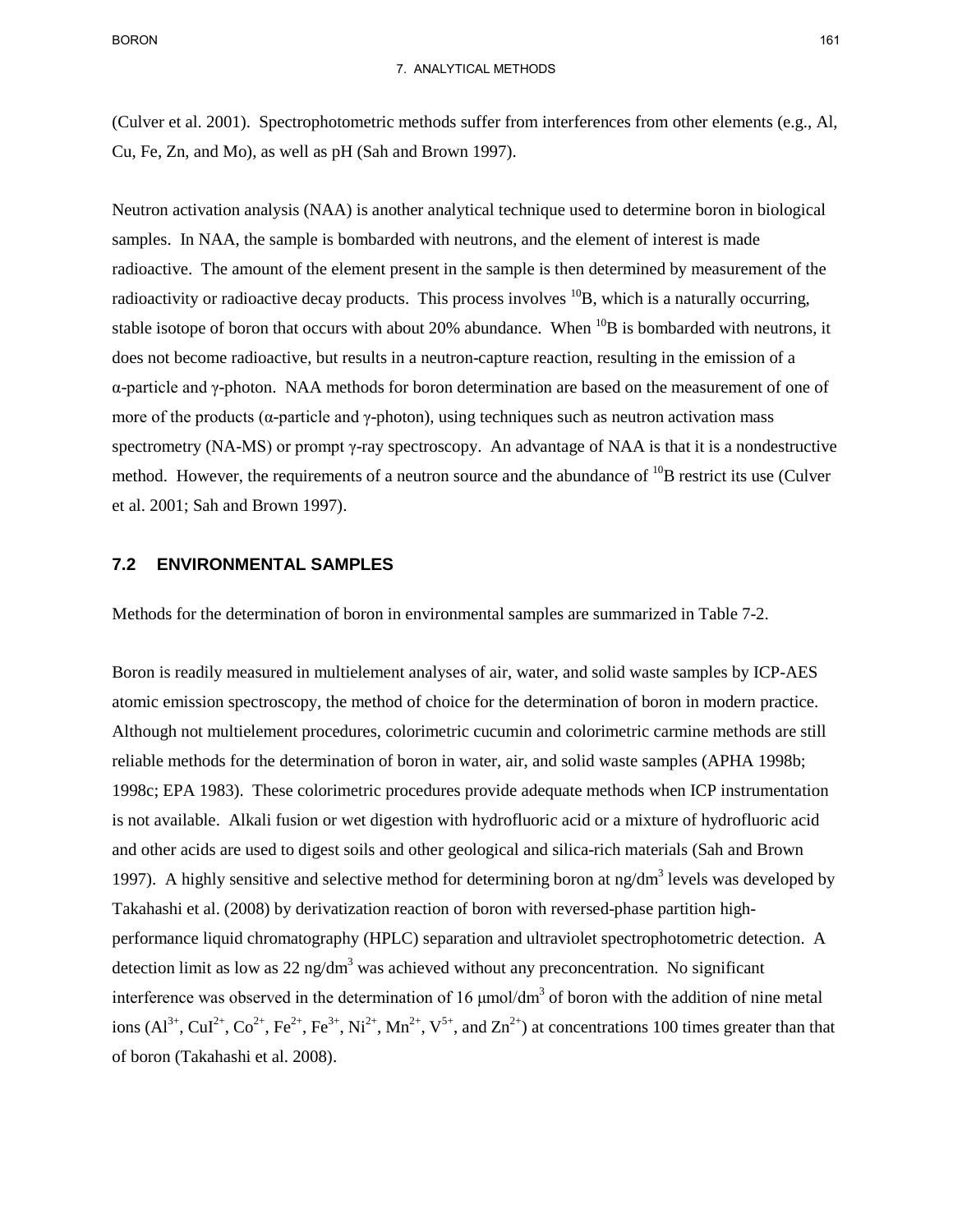(Culver et al. 2001). Spectrophotometric methods suffer from interferences from other elements (e.g., Al,

Cu, Fe, Zn, and Mo), as well as pH (Sah and Brown 1997).

 samples. In NAA, the sample is bombarded with neutrons, and the element of interest is made radioactive. The amount of the element present in the sample is then determined by measurement of the stable isotope of boron that occurs with about 20% abundance. When  $^{10}B$  is bombarded with neutrons, it does not become radioactive, but results in a neutron-capture reaction, resulting in the emission of a α-particle and γ-photon. NAA methods for boron determination are based on the measurement of one of spectrometry (NA-MS) or prompt γ-ray spectroscopy. An advantage of NAA is that it is a nondestructive Neutron activation analysis (NAA) is another analytical technique used to determine boron in biological radioactivity or radioactive decay products. This process involves  ${}^{10}B$ , which is a naturally occurring, more of the products ( $\alpha$ -particle and  $\gamma$ -photon), using techniques such as neutron activation mass method. However, the requirements of a neutron source and the abundance of  $^{10}B$  restrict its use (Culver et al. 2001; Sah and Brown 1997).

#### $7.2$ **7.2 ENVIRONMENTAL SAMPLES**

Methods for the determination of boron in environmental samples are summarized in Table 7-2.

 Although not multielement procedures, colorimetric cucumin and colorimetric carmine methods are still Takahashi et al. (2008) by derivatization reaction of boron with reversed-phase partition highinterference was observed in the determination of 16  $\mu$ mol/dm<sup>3</sup> of boron with the addition of nine metal ions  $(Al^{3+}, CuI^{2+}, Co^{2+}, Fe^{2+}, Fe^{3+}, Ni^{2+}, Mn^{2+}, V^{5+}, and Zn^{2+})$  at concentrations 100 times greater than that of boron (Takahashi et al. 2008). Boron is readily measured in multielement analyses of air, water, and solid waste samples by ICP-AES atomic emission spectroscopy, the method of choice for the determination of boron in modern practice. reliable methods for the determination of boron in water, air, and solid waste samples (APHA 1998b; 1998c; EPA 1983). These colorimetric procedures provide adequate methods when ICP instrumentation is not available. Alkali fusion or wet digestion with hydrofluoric acid or a mixture of hydrofluoric acid and other acids are used to digest soils and other geological and silica-rich materials (Sah and Brown 1997). A highly sensitive and selective method for determining boron at  $ng/dm<sup>3</sup>$  levels was developed by performance liquid chromatography (HPLC) separation and ultraviolet spectrophotometric detection. A detection limit as low as  $22 \text{ ng/dm}^3$  was achieved without any preconcentration. No significant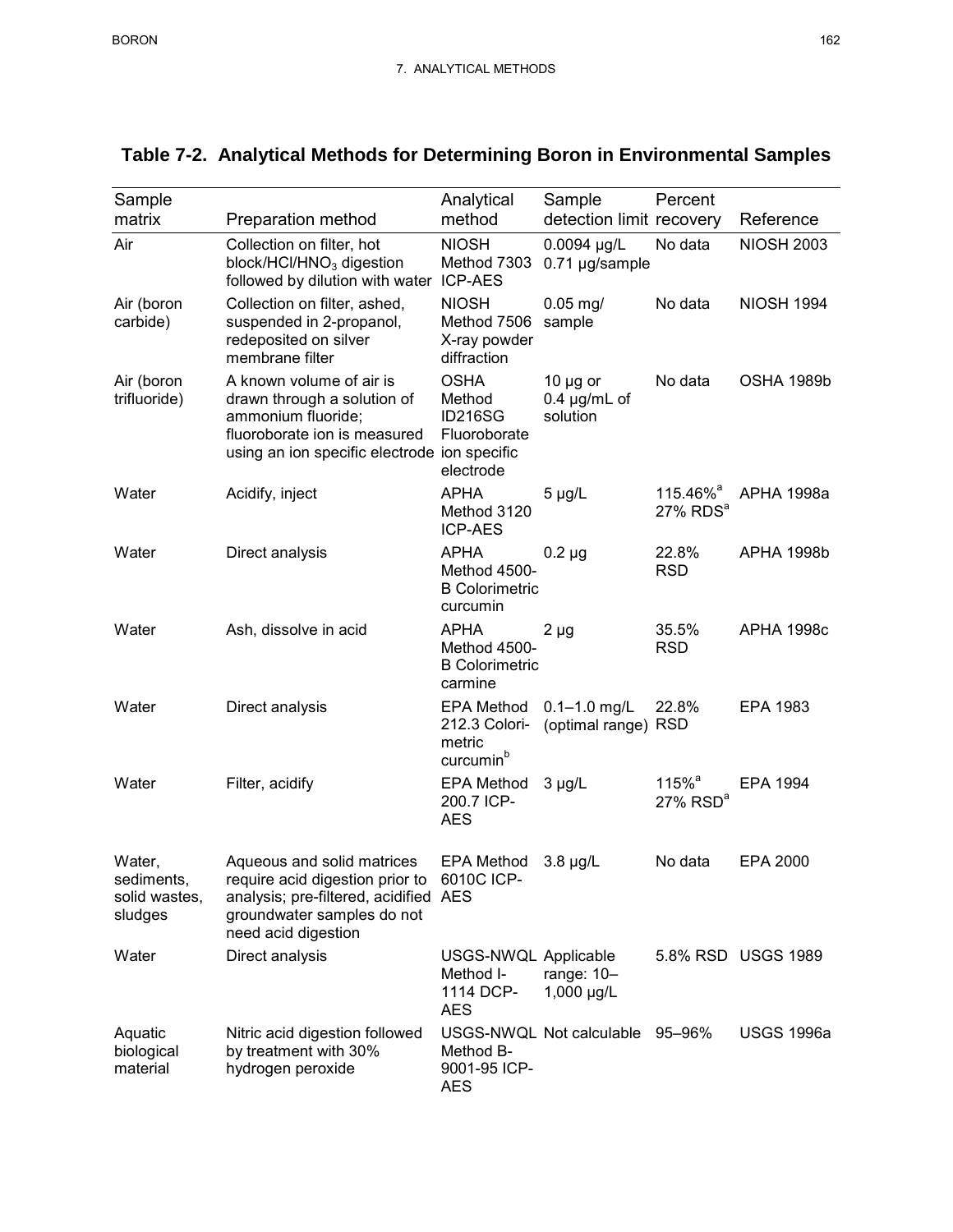| Sample<br>matrix                                 | Preparation method                                                                                                                                                     | Analytical<br>method                                                  | Sample<br>detection limit recovery             | Percent                                        | Reference          |
|--------------------------------------------------|------------------------------------------------------------------------------------------------------------------------------------------------------------------------|-----------------------------------------------------------------------|------------------------------------------------|------------------------------------------------|--------------------|
| Air                                              | Collection on filter, hot<br>block/HCl/HNO <sub>3</sub> digestion<br>followed by dilution with water                                                                   | <b>NIOSH</b><br>Method 7303<br><b>ICP-AES</b>                         | 0.0094 µg/L<br>0.71 µg/sample                  | No data                                        | <b>NIOSH 2003</b>  |
| Air (boron<br>carbide)                           | Collection on filter, ashed,<br>suspended in 2-propanol,<br>redeposited on silver<br>membrane filter                                                                   | <b>NIOSH</b><br>Method 7506<br>X-ray powder<br>diffraction            | $0.05$ mg/<br>sample                           | No data                                        | <b>NIOSH 1994</b>  |
| Air (boron<br>trifluoride)                       | A known volume of air is<br>drawn through a solution of<br>ammonium fluoride;<br>fluoroborate ion is measured<br>using an ion specific electrode ion specific          | <b>OSHA</b><br>Method<br><b>ID216SG</b><br>Fluoroborate<br>electrode  | 10 $\mu$ g or<br>$0.4 \mu g/mL$ of<br>solution | No data                                        | OSHA 1989b         |
| Water                                            | Acidify, inject                                                                                                                                                        | <b>APHA</b><br>Method 3120<br><b>ICP-AES</b>                          | $5 \mu g/L$                                    | 115.46% <sup>a</sup><br>27% RDS <sup>a</sup>   | <b>APHA 1998a</b>  |
| Water                                            | Direct analysis                                                                                                                                                        | <b>APHA</b><br>Method 4500-<br><b>B</b> Colorimetric<br>curcumin      | $0.2 \mu g$                                    | 22.8%<br><b>RSD</b>                            | <b>APHA 1998b</b>  |
| Water                                            | Ash, dissolve in acid                                                                                                                                                  | <b>APHA</b><br>Method 4500-<br><b>B</b> Colorimetric<br>carmine       | $2 \mu g$                                      | 35.5%<br><b>RSD</b>                            | <b>APHA 1998c</b>  |
| Water                                            | Direct analysis                                                                                                                                                        | <b>EPA Method</b><br>212.3 Colori-<br>metric<br>curcumin <sup>b</sup> | $0.1 - 1.0$ mg/L<br>(optimal range) RSD        | 22.8%                                          | EPA 1983           |
| Water                                            | Filter, acidify                                                                                                                                                        | <b>EPA Method</b><br>200.7 ICP-<br><b>AES</b>                         | $3 \mu g/L$                                    | $115%$ <sup>a</sup><br>$27\%$ RSD <sup>a</sup> | EPA 1994           |
| Water,<br>sediments,<br>solid wastes,<br>sludges | Aqueous and solid matrices<br>require acid digestion prior to 6010C ICP-<br>analysis; pre-filtered, acidified AES<br>groundwater samples do not<br>need acid digestion | <b>EPA Method</b>                                                     | $3.8 \mu g/L$                                  | No data                                        | <b>EPA 2000</b>    |
| Water                                            | Direct analysis                                                                                                                                                        | USGS-NWQL Applicable<br>Method I-<br>1114 DCP-<br><b>AES</b>          | range: $10-$<br>1,000 µg/L                     |                                                | 5.8% RSD USGS 1989 |
| Aquatic<br>biological<br>material                | Nitric acid digestion followed<br>by treatment with 30%<br>hydrogen peroxide                                                                                           | Method B-<br>9001-95 ICP-<br><b>AES</b>                               | USGS-NWQL Not calculable                       | 95–96%                                         | <b>USGS 1996a</b>  |

## **Table 7-2. Analytical Methods for Determining Boron in Environmental Samples**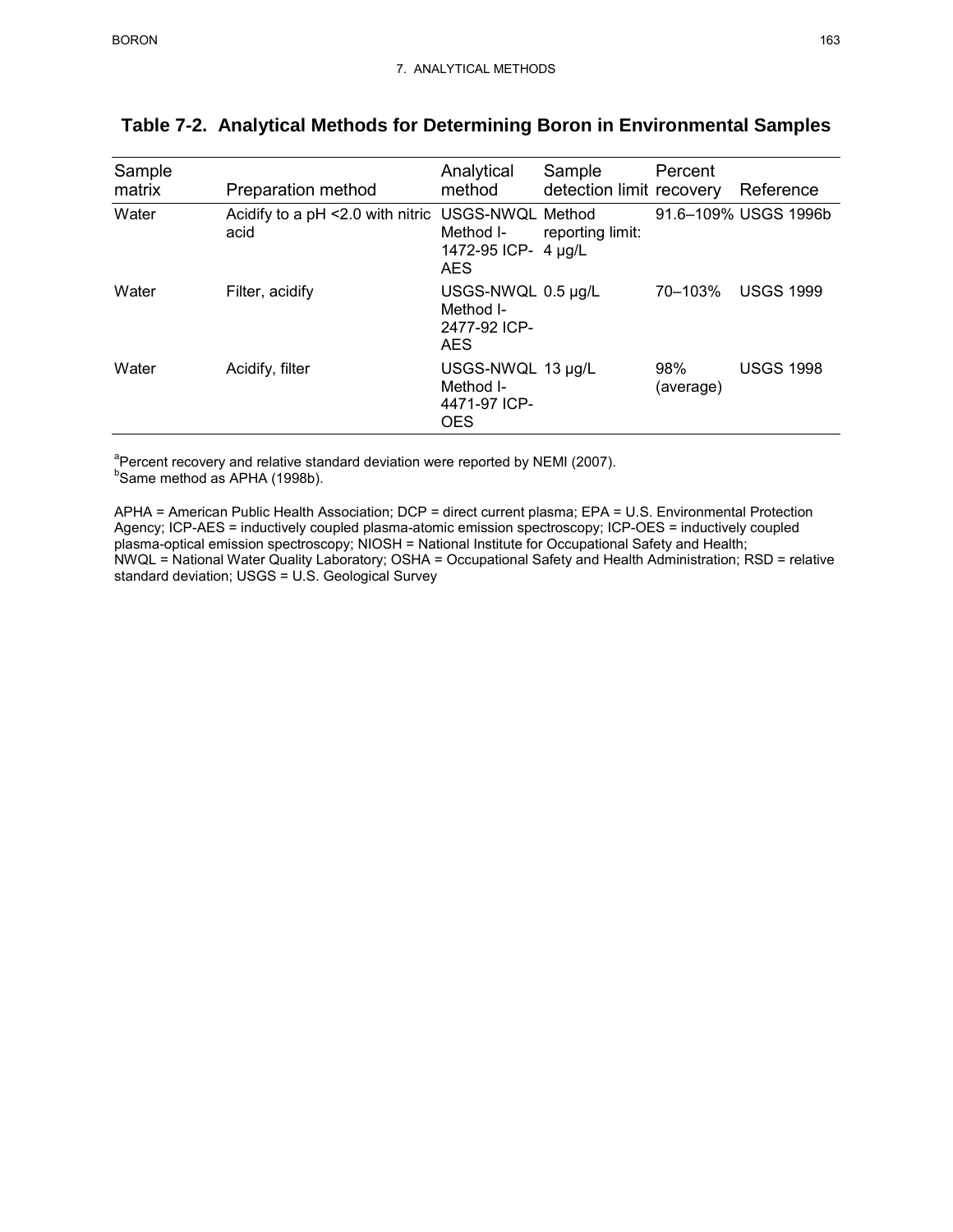| Sample<br>matrix | Preparation method                                        | Analytical<br>method                                          | Sample<br>detection limit recovery | Percent          | Reference            |
|------------------|-----------------------------------------------------------|---------------------------------------------------------------|------------------------------------|------------------|----------------------|
| Water            | Acidify to a pH <2.0 with nitric USGS-NWQL Method<br>acid | Method I-<br>1472-95 ICP- 4 µg/L<br><b>AES</b>                | reporting limit:                   |                  | 91.6-109% USGS 1996b |
| Water            | Filter, acidify                                           | USGS-NWQL 0.5 µg/L<br>Method I-<br>2477-92 ICP-<br><b>AES</b> |                                    | 70-103%          | <b>USGS 1999</b>     |
| Water            | Acidify, filter                                           | USGS-NWQL 13 µg/L<br>Method I-<br>4471-97 ICP-<br><b>OES</b>  |                                    | 98%<br>(average) | <b>USGS 1998</b>     |

## **Table 7-2. Analytical Methods for Determining Boron in Environmental Samples**

<sup>a</sup> Percent recovery and relative standard deviation were reported by NEMI (2007).<br><sup>b</sup> Same mothod as ABHA (1008b)

Same method as APHA (1998b).

 APHA = American Public Health Association; DCP = direct current plasma; EPA = U.S. Environmental Protection Agency; ICP-AES = inductively coupled plasma-atomic emission spectroscopy; ICP-OES = inductively coupled NWQL = National Water Quality Laboratory; OSHA = Occupational Safety and Health Administration; RSD = relative plasma-optical emission spectroscopy; NIOSH = National Institute for Occupational Safety and Health; standard deviation; USGS = U.S. Geological Survey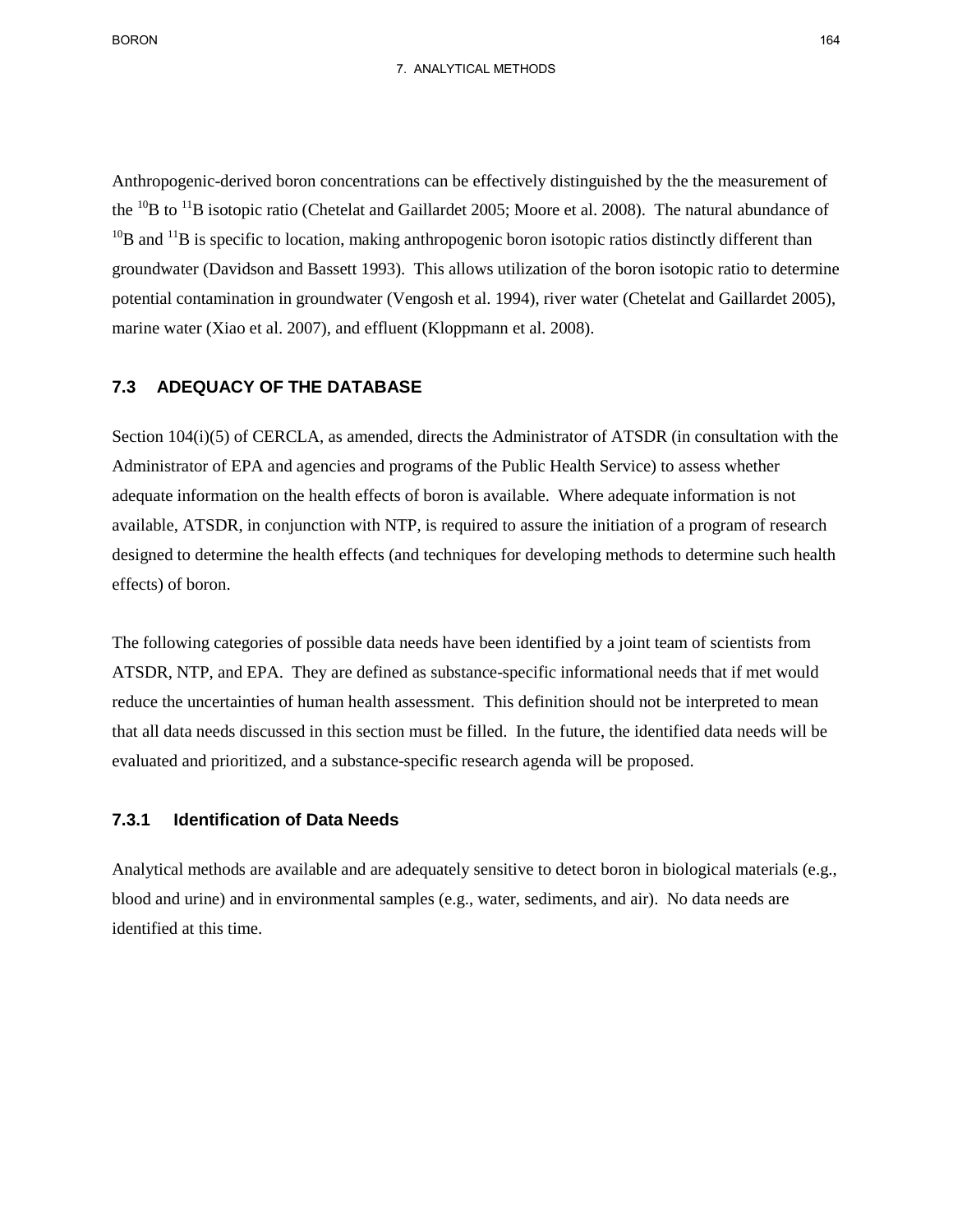the  $^{10}$ B to  $^{11}$ B isotopic ratio (Chetelat and Gaillardet 2005; Moore et al. 2008). The natural abundance of potential contamination in groundwater (Vengosh et al. 1994), river water (Chetelat and Gaillardet 2005), marine water (Xiao et al. 2007), and effluent (Kloppmann et al. 2008). Anthropogenic-derived boron concentrations can be effectively distinguished by the the measurement of  $10B$  and  $11B$  is specific to location, making anthropogenic boron isotopic ratios distinctly different than groundwater (Davidson and Bassett 1993). This allows utilization of the boron isotopic ratio to determine

#### **7.3 ADEQUACY OF THE DATABASE**

 available, ATSDR, in conjunction with NTP, is required to assure the initiation of a program of research Section 104(i)(5) of CERCLA, as amended, directs the Administrator of ATSDR (in consultation with the Administrator of EPA and agencies and programs of the Public Health Service) to assess whether adequate information on the health effects of boron is available. Where adequate information is not designed to determine the health effects (and techniques for developing methods to determine such health effects) of boron.

 that all data needs discussed in this section must be filled. In the future, the identified data needs will be The following categories of possible data needs have been identified by a joint team of scientists from ATSDR, NTP, and EPA. They are defined as substance-specific informational needs that if met would reduce the uncertainties of human health assessment. This definition should not be interpreted to mean evaluated and prioritized, and a substance-specific research agenda will be proposed.

### **7.3.1 Identification of Data Needs**

Analytical methods are available and are adequately sensitive to detect boron in biological materials (e.g., blood and urine) and in environmental samples (e.g., water, sediments, and air). No data needs are identified at this time.